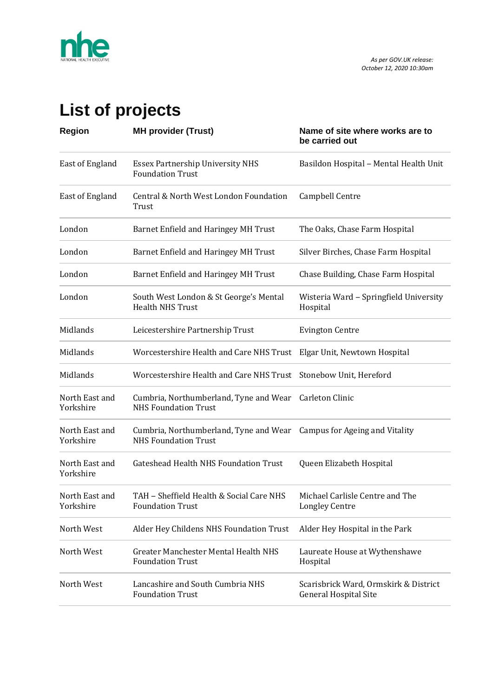

## **List of projects**

| <b>Region</b>               | <b>MH provider (Trust)</b>                                            | Name of site where works are to<br>be carried out                     |
|-----------------------------|-----------------------------------------------------------------------|-----------------------------------------------------------------------|
| East of England             | <b>Essex Partnership University NHS</b><br><b>Foundation Trust</b>    | Basildon Hospital - Mental Health Unit                                |
| East of England             | Central & North West London Foundation<br>Trust                       | Campbell Centre                                                       |
| London                      | Barnet Enfield and Haringey MH Trust                                  | The Oaks, Chase Farm Hospital                                         |
| London                      | Barnet Enfield and Haringey MH Trust                                  | Silver Birches, Chase Farm Hospital                                   |
| London                      | Barnet Enfield and Haringey MH Trust                                  | Chase Building, Chase Farm Hospital                                   |
| London                      | South West London & St George's Mental<br><b>Health NHS Trust</b>     | Wisteria Ward - Springfield University<br>Hospital                    |
| Midlands                    | Leicestershire Partnership Trust                                      | <b>Evington Centre</b>                                                |
| Midlands                    | Worcestershire Health and Care NHS Trust Elgar Unit, Newtown Hospital |                                                                       |
| Midlands                    | Worcestershire Health and Care NHS Trust Stonebow Unit, Hereford      |                                                                       |
| North East and<br>Yorkshire | Cumbria, Northumberland, Tyne and Wear<br><b>NHS Foundation Trust</b> | Carleton Clinic                                                       |
| North East and<br>Yorkshire | Cumbria, Northumberland, Tyne and Wear<br><b>NHS Foundation Trust</b> | Campus for Ageing and Vitality                                        |
| North East and<br>Yorkshire | <b>Gateshead Health NHS Foundation Trust</b>                          | Queen Elizabeth Hospital                                              |
| North East and<br>Yorkshire | TAH - Sheffield Health & Social Care NHS<br><b>Foundation Trust</b>   | Michael Carlisle Centre and The<br><b>Longley Centre</b>              |
| North West                  | Alder Hey Childens NHS Foundation Trust                               | Alder Hey Hospital in the Park                                        |
| North West                  | Greater Manchester Mental Health NHS<br><b>Foundation Trust</b>       | Laureate House at Wythenshawe<br>Hospital                             |
| North West                  | Lancashire and South Cumbria NHS<br><b>Foundation Trust</b>           | Scarisbrick Ward, Ormskirk & District<br><b>General Hospital Site</b> |